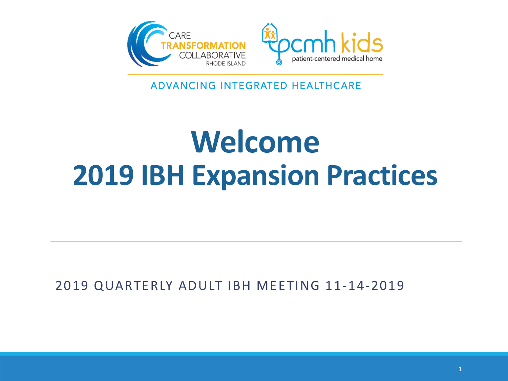

ADVANCING INTEGRATED HEALTHCARE

## **Welcome 2019 IBH Expansion Practices**

2019 QUARTERLY ADULT IBH MEETING 11-14-2019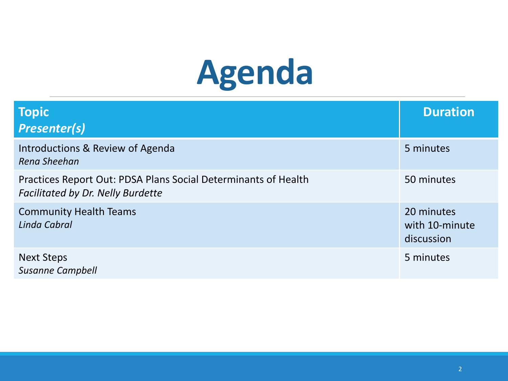# **Agenda**

| <b>Topic</b><br><b>Presenter(s)</b>                                                                        | <b>Duration</b>                            |
|------------------------------------------------------------------------------------------------------------|--------------------------------------------|
| Introductions & Review of Agenda<br>Rena Sheehan                                                           | 5 minutes                                  |
| Practices Report Out: PDSA Plans Social Determinants of Health<br><b>Facilitated by Dr. Nelly Burdette</b> | 50 minutes                                 |
| <b>Community Health Teams</b><br>Linda Cabral                                                              | 20 minutes<br>with 10-minute<br>discussion |
| <b>Next Steps</b><br><b>Susanne Campbell</b>                                                               | 5 minutes                                  |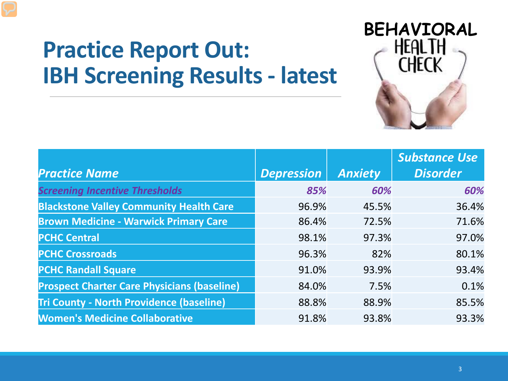#### **Practice Report Out: IBH Screening Results - latest**



|                                                    |                   |                | <b>Substance Use</b> |
|----------------------------------------------------|-------------------|----------------|----------------------|
| <b>Practice Name</b>                               | <b>Depression</b> | <b>Anxiety</b> | <b>Disorder</b>      |
| <b>Screening Incentive Thresholds</b>              | 85%               | 60%            | 60%                  |
| <b>Blackstone Valley Community Health Care</b>     | 96.9%             | 45.5%          | 36.4%                |
| <b>Brown Medicine - Warwick Primary Care</b>       | 86.4%             | 72.5%          | 71.6%                |
| <b>PCHC Central</b>                                | 98.1%             | 97.3%          | 97.0%                |
| <b>PCHC Crossroads</b>                             | 96.3%             | 82%            | 80.1%                |
| <b>PCHC Randall Square</b>                         | 91.0%             | 93.9%          | 93.4%                |
| <b>Prospect Charter Care Physicians (baseline)</b> | 84.0%             | 7.5%           | 0.1%                 |
| <b>Tri County - North Providence (baseline)</b>    | 88.8%             | 88.9%          | 85.5%                |
| <b>Women's Medicine Collaborative</b>              | 91.8%             | 93.8%          | 93.3%                |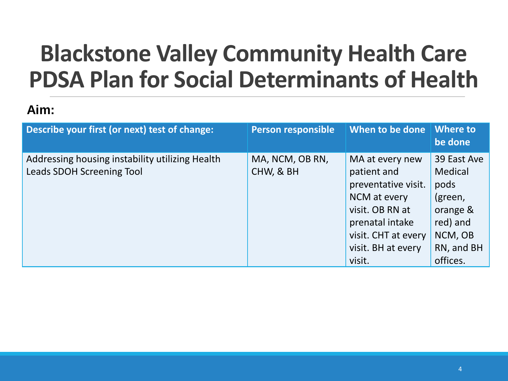### **Blackstone Valley Community Health Care PDSA Plan for Social Determinants of Health**

#### **Aim:**

| Describe your first (or next) test of change:                                | <b>Person responsible</b>    | When to be done                                                                                                                                                    | Where to<br>be done                                                                                    |
|------------------------------------------------------------------------------|------------------------------|--------------------------------------------------------------------------------------------------------------------------------------------------------------------|--------------------------------------------------------------------------------------------------------|
| Addressing housing instability utilizing Health<br>Leads SDOH Screening Tool | MA, NCM, OB RN,<br>CHW, & BH | MA at every new<br>patient and<br>preventative visit.<br>NCM at every<br>visit. OB RN at<br>prenatal intake<br>visit. CHT at every<br>visit. BH at every<br>visit. | 39 East Ave<br>Medical<br>pods<br>(green,<br>orange &<br>red) and<br>NCM, OB<br>RN, and BH<br>offices. |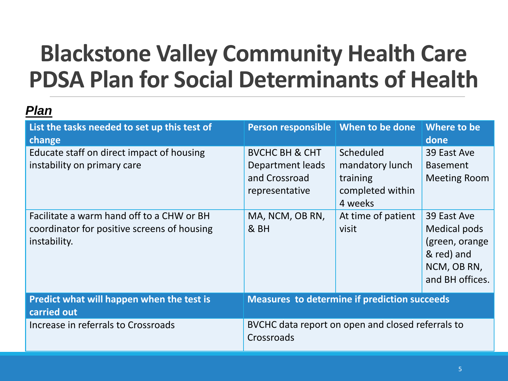### **Blackstone Valley Community Health Care PDSA Plan for Social Determinants of Health**

| List the tasks needed to set up this test of<br>change                                                   | Person responsible   When to be done                                             |                                                                         | Where to be<br>done                                                                           |
|----------------------------------------------------------------------------------------------------------|----------------------------------------------------------------------------------|-------------------------------------------------------------------------|-----------------------------------------------------------------------------------------------|
| Educate staff on direct impact of housing<br>instability on primary care                                 | <b>BVCHC BH &amp; CHT</b><br>Department leads<br>and Crossroad<br>representative | Scheduled<br>mandatory lunch<br>training<br>completed within<br>4 weeks | 39 East Ave<br><b>Basement</b><br><b>Meeting Room</b>                                         |
| Facilitate a warm hand off to a CHW or BH<br>coordinator for positive screens of housing<br>instability. | MA, NCM, OB RN,<br>& BH                                                          | At time of patient<br>visit                                             | 39 East Ave<br>Medical pods<br>(green, orange<br>& red) and<br>NCM, OB RN,<br>and BH offices. |
| Predict what will happen when the test is<br>carried out                                                 | <b>Measures to determine if prediction succeeds</b>                              |                                                                         |                                                                                               |
| Increase in referrals to Crossroads                                                                      | BVCHC data report on open and closed referrals to<br>Crossroads                  |                                                                         |                                                                                               |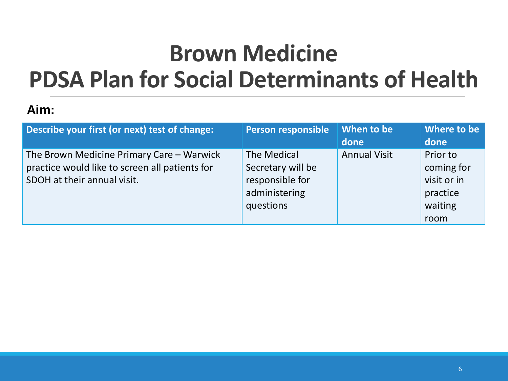### **Brown Medicine PDSA Plan for Social Determinants of Health**

#### **Aim:**

| Describe your first (or next) test of change:                                                                              | <b>Person responsible</b>                                                         | <b>When to be</b><br>done | Where to be<br>done                                                  |
|----------------------------------------------------------------------------------------------------------------------------|-----------------------------------------------------------------------------------|---------------------------|----------------------------------------------------------------------|
| The Brown Medicine Primary Care - Warwick<br>practice would like to screen all patients for<br>SDOH at their annual visit. | The Medical<br>Secretary will be<br>responsible for<br>administering<br>questions | <b>Annual Visit</b>       | Prior to<br>coming for<br>visit or in<br>practice<br>waiting<br>room |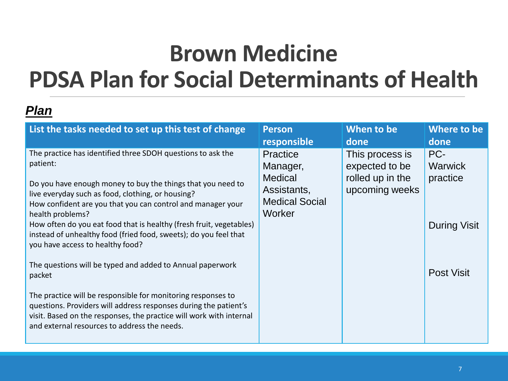#### **Brown Medicine PDSA Plan for Social Determinants of Health**

| List the tasks needed to set up this test of change                                                                                                                                                                                                                                                                                                                                                                                                                                                                                                                                                                                                                                                                                                                                             | <b>Person</b>                                                                                   | When to be                                                              | Where to be                                                                   |
|-------------------------------------------------------------------------------------------------------------------------------------------------------------------------------------------------------------------------------------------------------------------------------------------------------------------------------------------------------------------------------------------------------------------------------------------------------------------------------------------------------------------------------------------------------------------------------------------------------------------------------------------------------------------------------------------------------------------------------------------------------------------------------------------------|-------------------------------------------------------------------------------------------------|-------------------------------------------------------------------------|-------------------------------------------------------------------------------|
|                                                                                                                                                                                                                                                                                                                                                                                                                                                                                                                                                                                                                                                                                                                                                                                                 | responsible                                                                                     | done                                                                    | done                                                                          |
| The practice has identified three SDOH questions to ask the<br>patient:<br>Do you have enough money to buy the things that you need to<br>live everyday such as food, clothing, or housing?<br>How confident are you that you can control and manager your<br>health problems?<br>How often do you eat food that is healthy (fresh fruit, vegetables)<br>instead of unhealthy food (fried food, sweets); do you feel that<br>you have access to healthy food?<br>The questions will be typed and added to Annual paperwork<br>packet<br>The practice will be responsible for monitoring responses to<br>questions. Providers will address responses during the patient's<br>visit. Based on the responses, the practice will work with internal<br>and external resources to address the needs. | <b>Practice</b><br>Manager,<br><b>Medical</b><br>Assistants,<br><b>Medical Social</b><br>Worker | This process is<br>expected to be<br>rolled up in the<br>upcoming weeks | PC-<br><b>Warwick</b><br>practice<br><b>During Visit</b><br><b>Post Visit</b> |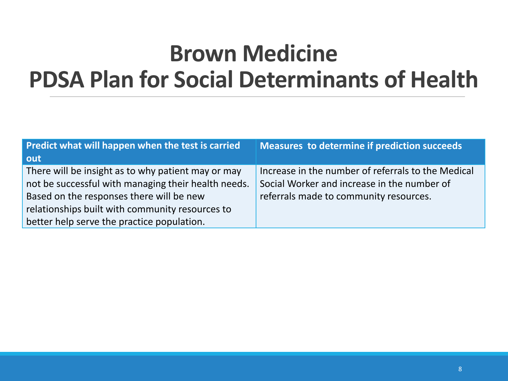#### **Brown Medicine PDSA Plan for Social Determinants of Health**

| Predict what will happen when the test is carried   | <b>Measures to determine if prediction succeeds</b> |
|-----------------------------------------------------|-----------------------------------------------------|
| out                                                 |                                                     |
| There will be insight as to why patient may or may  | Increase in the number of referrals to the Medical  |
| not be successful with managing their health needs. | Social Worker and increase in the number of         |
| Based on the responses there will be new            | referrals made to community resources.              |
| relationships built with community resources to     |                                                     |
| better help serve the practice population.          |                                                     |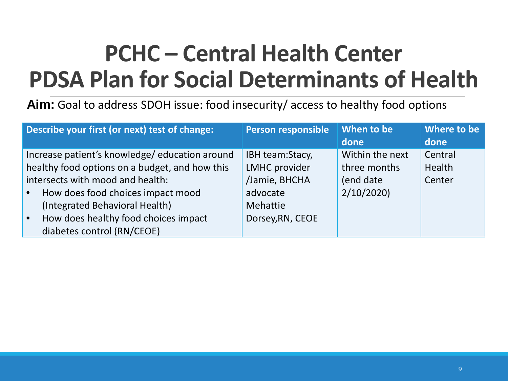### **PCHC – Central Health Center PDSA Plan for Social Determinants of Health**

**Aim:** Goal to address SDOH issue: food insecurity/ access to healthy food options

| Describe your first (or next) test of change:     | <b>Person responsible</b> | When to be      | Where to be |
|---------------------------------------------------|---------------------------|-----------------|-------------|
|                                                   |                           | done            | done        |
| Increase patient's knowledge/education around     | IBH team:Stacy,           | Within the next | Central     |
| healthy food options on a budget, and how this    | <b>LMHC</b> provider      | three months    | Health      |
| intersects with mood and health:                  | /Jamie, BHCHA             | (end date       | Center      |
| How does food choices impact mood<br>$\bullet$    | advocate                  | 2/10/2020       |             |
| (Integrated Behavioral Health)                    | Mehattie                  |                 |             |
| How does healthy food choices impact<br>$\bullet$ | Dorsey, RN, CEOE          |                 |             |
| diabetes control (RN/CEOE)                        |                           |                 |             |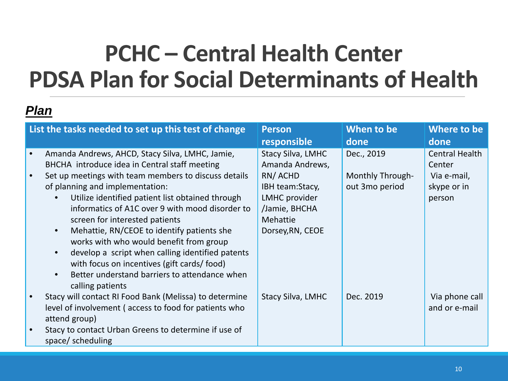#### **PCHC – Central Health Center PDSA Plan for Social Determinants of Health**

| List the tasks needed to set up this test of change                                                                                                                                                                                                                                                                                                                                                                                                                                                                                                                                                  | <b>Person</b><br>responsible                                                                                                                       | When to be<br>done                                      | Where to be<br>done                                              |
|------------------------------------------------------------------------------------------------------------------------------------------------------------------------------------------------------------------------------------------------------------------------------------------------------------------------------------------------------------------------------------------------------------------------------------------------------------------------------------------------------------------------------------------------------------------------------------------------------|----------------------------------------------------------------------------------------------------------------------------------------------------|---------------------------------------------------------|------------------------------------------------------------------|
| Amanda Andrews, AHCD, Stacy Silva, LMHC, Jamie,<br>BHCHA introduce idea in Central staff meeting<br>Set up meetings with team members to discuss details<br>of planning and implementation:<br>Utilize identified patient list obtained through<br>informatics of A1C over 9 with mood disorder to<br>screen for interested patients<br>Mehattie, RN/CEOE to identify patients she<br>works with who would benefit from group<br>develop a script when calling identified patents<br>with focus on incentives (gift cards/food)<br>Better understand barriers to attendance when<br>calling patients | <b>Stacy Silva, LMHC</b><br>Amanda Andrews,<br>RN/ACHD<br>IBH team:Stacy,<br>LMHC provider<br>/Jamie, BHCHA<br><b>Mehattie</b><br>Dorsey, RN, CEOE | Dec., 2019<br><b>Monthly Through-</b><br>out 3mo period | Central Health<br>Center<br>Via e-mail,<br>skype or in<br>person |
| Stacy will contact RI Food Bank (Melissa) to determine<br>level of involvement (access to food for patients who<br>attend group)                                                                                                                                                                                                                                                                                                                                                                                                                                                                     | <b>Stacy Silva, LMHC</b>                                                                                                                           | Dec. 2019                                               | Via phone call<br>and or e-mail                                  |
| Stacy to contact Urban Greens to determine if use of<br>space/scheduling                                                                                                                                                                                                                                                                                                                                                                                                                                                                                                                             |                                                                                                                                                    |                                                         |                                                                  |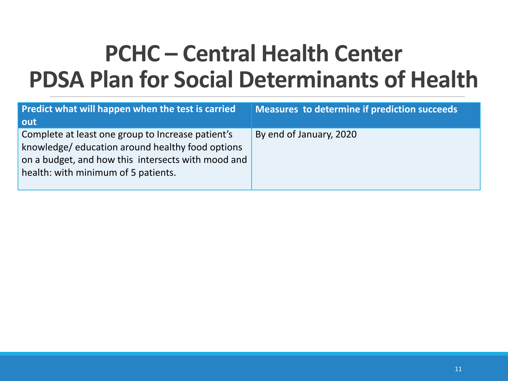#### **PCHC – Central Health Center PDSA Plan for Social Determinants of Health**

| Predict what will happen when the test is carried<br>out                                                                                                                                          | Measures to determine if prediction succeeds |
|---------------------------------------------------------------------------------------------------------------------------------------------------------------------------------------------------|----------------------------------------------|
| Complete at least one group to Increase patient's<br>knowledge/education around healthy food options<br>on a budget, and how this intersects with mood and<br>health: with minimum of 5 patients. | By end of January, 2020                      |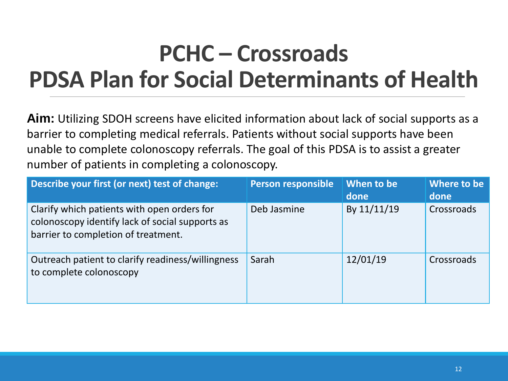### **PCHC – Crossroads PDSA Plan for Social Determinants of Health**

**Aim:** Utilizing SDOH screens have elicited information about lack of social supports as a barrier to completing medical referrals. Patients without social supports have been unable to complete colonoscopy referrals. The goal of this PDSA is to assist a greater number of patients in completing a colonoscopy.

| Describe your first (or next) test of change:                                                                                         | Person responsible | When to be<br>done | Where to be<br>done |
|---------------------------------------------------------------------------------------------------------------------------------------|--------------------|--------------------|---------------------|
| Clarify which patients with open orders for<br>colonoscopy identify lack of social supports as<br>barrier to completion of treatment. | Deb Jasmine        | By 11/11/19        | Crossroads          |
| Outreach patient to clarify readiness/willingness<br>to complete colonoscopy                                                          | Sarah              | 12/01/19           | Crossroads          |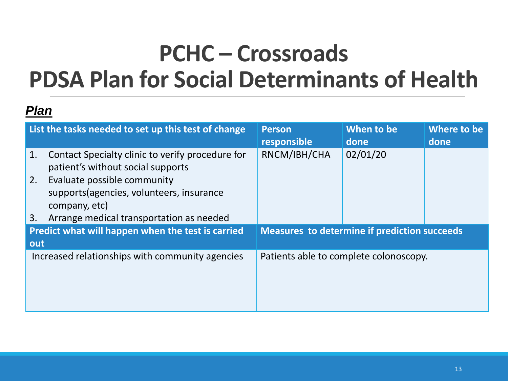### **PCHC – Crossroads PDSA Plan for Social Determinants of Health**

|     | List the tasks needed to set up this test of change                                       | <b>Person</b><br>responsible                        | When to be<br>done | Where to be<br>done |
|-----|-------------------------------------------------------------------------------------------|-----------------------------------------------------|--------------------|---------------------|
| 1.  | Contact Specialty clinic to verify procedure for<br>patient's without social supports     | RNCM/IBH/CHA                                        | 02/01/20           |                     |
| 2.  | Evaluate possible community<br>supports (agencies, volunteers, insurance<br>company, etc) |                                                     |                    |                     |
| 3.  | Arrange medical transportation as needed                                                  |                                                     |                    |                     |
|     | Predict what will happen when the test is carried                                         | <b>Measures to determine if prediction succeeds</b> |                    |                     |
| out |                                                                                           |                                                     |                    |                     |
|     | Increased relationships with community agencies                                           | Patients able to complete colonoscopy.              |                    |                     |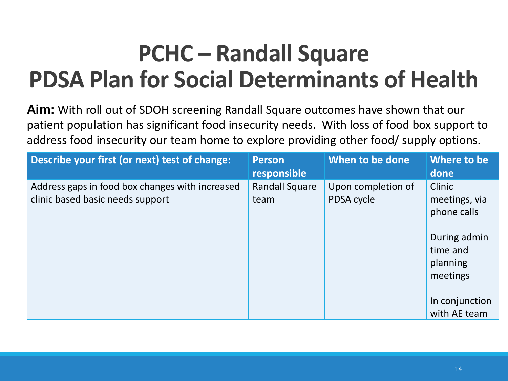### **PCHC – Randall Square PDSA Plan for Social Determinants of Health**

**Aim:** With roll out of SDOH screening Randall Square outcomes have shown that our patient population has significant food insecurity needs. With loss of food box support to address food insecurity our team home to explore providing other food/ supply options.

| <b>Person</b><br>responsible  | When to be done                  | Where to be<br>done                              |
|-------------------------------|----------------------------------|--------------------------------------------------|
| <b>Randall Square</b><br>team | Upon completion of<br>PDSA cycle | Clinic<br>meetings, via<br>phone calls           |
|                               |                                  | During admin<br>time and<br>planning<br>meetings |
|                               |                                  | In conjunction<br>with AE team                   |
|                               |                                  |                                                  |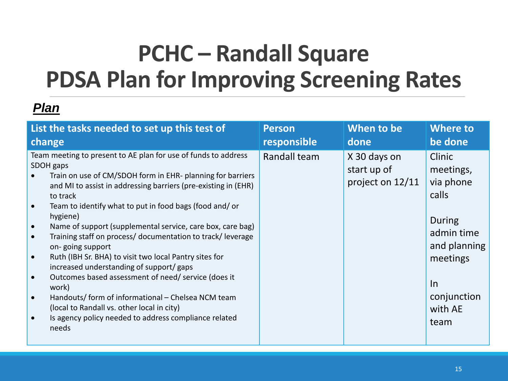### **PCHC – Randall Square PDSA Plan for Improving Screening Rates**

| List the tasks needed to set up this test of                                                                                                                                                                                                                                                                                                                                                                                                                                                                                                                                                                                                                                                                                                                                            | <b>Person</b> | When to be                                      | <b>Where to</b>                                                                                                                              |
|-----------------------------------------------------------------------------------------------------------------------------------------------------------------------------------------------------------------------------------------------------------------------------------------------------------------------------------------------------------------------------------------------------------------------------------------------------------------------------------------------------------------------------------------------------------------------------------------------------------------------------------------------------------------------------------------------------------------------------------------------------------------------------------------|---------------|-------------------------------------------------|----------------------------------------------------------------------------------------------------------------------------------------------|
| change                                                                                                                                                                                                                                                                                                                                                                                                                                                                                                                                                                                                                                                                                                                                                                                  | responsible   | done                                            | be done                                                                                                                                      |
| Team meeting to present to AE plan for use of funds to address<br>SDOH gaps<br>Train on use of CM/SDOH form in EHR- planning for barriers<br>and MI to assist in addressing barriers (pre-existing in (EHR)<br>to track<br>Team to identify what to put in food bags (food and/or<br>hygiene)<br>Name of support (supplemental service, care box, care bag)<br>Training staff on process/ documentation to track/ leverage<br>on-going support<br>Ruth (IBH Sr. BHA) to visit two local Pantry sites for<br>increased understanding of support/gaps<br>Outcomes based assessment of need/service (does it<br>work)<br>Handouts/form of informational - Chelsea NCM team<br>(local to Randall vs. other local in city)<br>Is agency policy needed to address compliance related<br>needs | Randall team  | X 30 days on<br>start up of<br>project on 12/11 | Clinic<br>meetings,<br>via phone<br>calls<br>During<br>admin time<br>and planning<br>meetings<br><u>In</u><br>conjunction<br>with AE<br>team |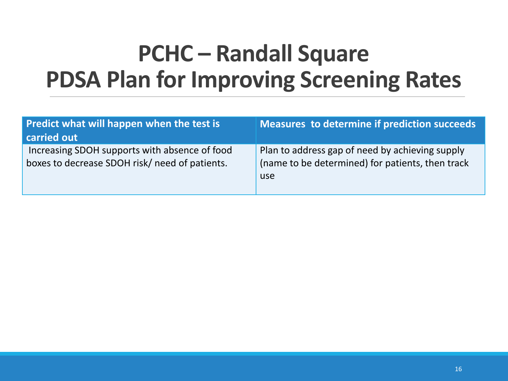### **PCHC – Randall Square PDSA Plan for Improving Screening Rates**

| Predict what will happen when the test is<br>carried out                                        | Measures to determine if prediction succeeds                                                               |
|-------------------------------------------------------------------------------------------------|------------------------------------------------------------------------------------------------------------|
| Increasing SDOH supports with absence of food<br>boxes to decrease SDOH risk/ need of patients. | Plan to address gap of need by achieving supply<br>(name to be determined) for patients, then track<br>use |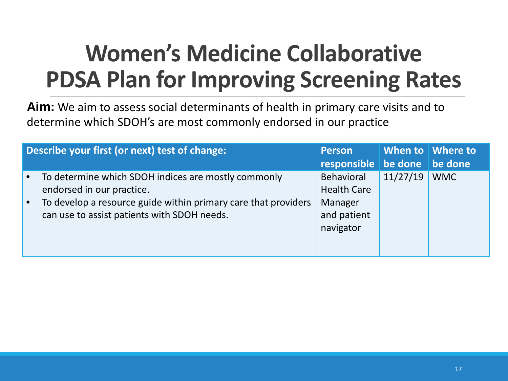### **Women's Medicine Collaborative PDSA Plan for Improving Screening Rates**

**Aim:** We aim to assess social determinants of health in primary care visits and to determine which SDOH's are most commonly endorsed in our practice

| Describe your first (or next) test of change:                                                                 | <b>Person</b>                       |          | When to Mhere to |
|---------------------------------------------------------------------------------------------------------------|-------------------------------------|----------|------------------|
|                                                                                                               | responsible   be done   be done     |          |                  |
| To determine which SDOH indices are mostly commonly<br>endorsed in our practice.                              | Behavioral<br><b>Health Care</b>    | 11/27/19 | <b>WMC</b>       |
| To develop a resource guide within primary care that providers<br>can use to assist patients with SDOH needs. | Manager<br>and patient<br>navigator |          |                  |
|                                                                                                               |                                     |          |                  |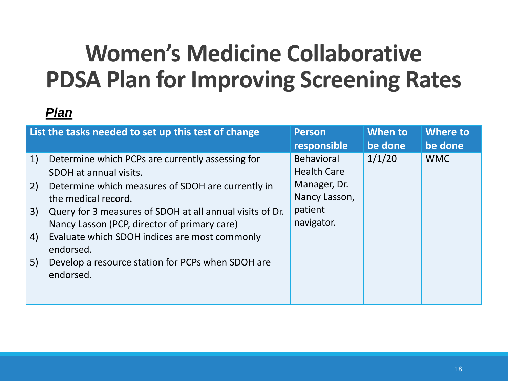### **Women's Medicine Collaborative PDSA Plan for Improving Screening Rates**

| List the tasks needed to set up this test of change                                                                                                                                                                                                                                                                                                                                                                              | <b>Person</b>                                                                                     | When to | <b>Where to</b> |
|----------------------------------------------------------------------------------------------------------------------------------------------------------------------------------------------------------------------------------------------------------------------------------------------------------------------------------------------------------------------------------------------------------------------------------|---------------------------------------------------------------------------------------------------|---------|-----------------|
|                                                                                                                                                                                                                                                                                                                                                                                                                                  | responsible                                                                                       | be done | be done         |
| 1)<br>Determine which PCPs are currently assessing for<br>SDOH at annual visits.<br>Determine which measures of SDOH are currently in<br>2)<br>the medical record.<br>Query for 3 measures of SDOH at all annual visits of Dr.<br>3)<br>Nancy Lasson (PCP, director of primary care)<br>Evaluate which SDOH indices are most commonly<br>4)<br>endorsed.<br>Develop a resource station for PCPs when SDOH are<br>5)<br>endorsed. | <b>Behavioral</b><br><b>Health Care</b><br>Manager, Dr.<br>Nancy Lasson,<br>patient<br>navigator. | 1/1/20  | <b>WMC</b>      |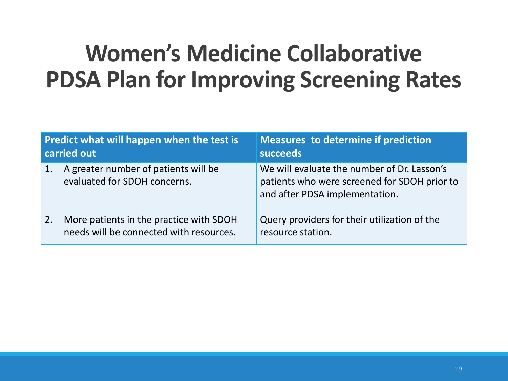### **Women's Medicine Collaborative PDSA Plan for Improving Screening Rates**

| Predict what will happen when the test is<br>carried out |                                                                                    | <b>Measures to determine if prediction</b><br>succeeds                                                                        |  |
|----------------------------------------------------------|------------------------------------------------------------------------------------|-------------------------------------------------------------------------------------------------------------------------------|--|
| $\mathbf{1}$ .                                           | A greater number of patients will be<br>evaluated for SDOH concerns.               | We will evaluate the number of Dr. Lasson's<br>patients who were screened for SDOH prior to<br>and after PDSA implementation. |  |
| 2.                                                       | More patients in the practice with SDOH<br>needs will be connected with resources. | Query providers for their utilization of the<br>resource station.                                                             |  |